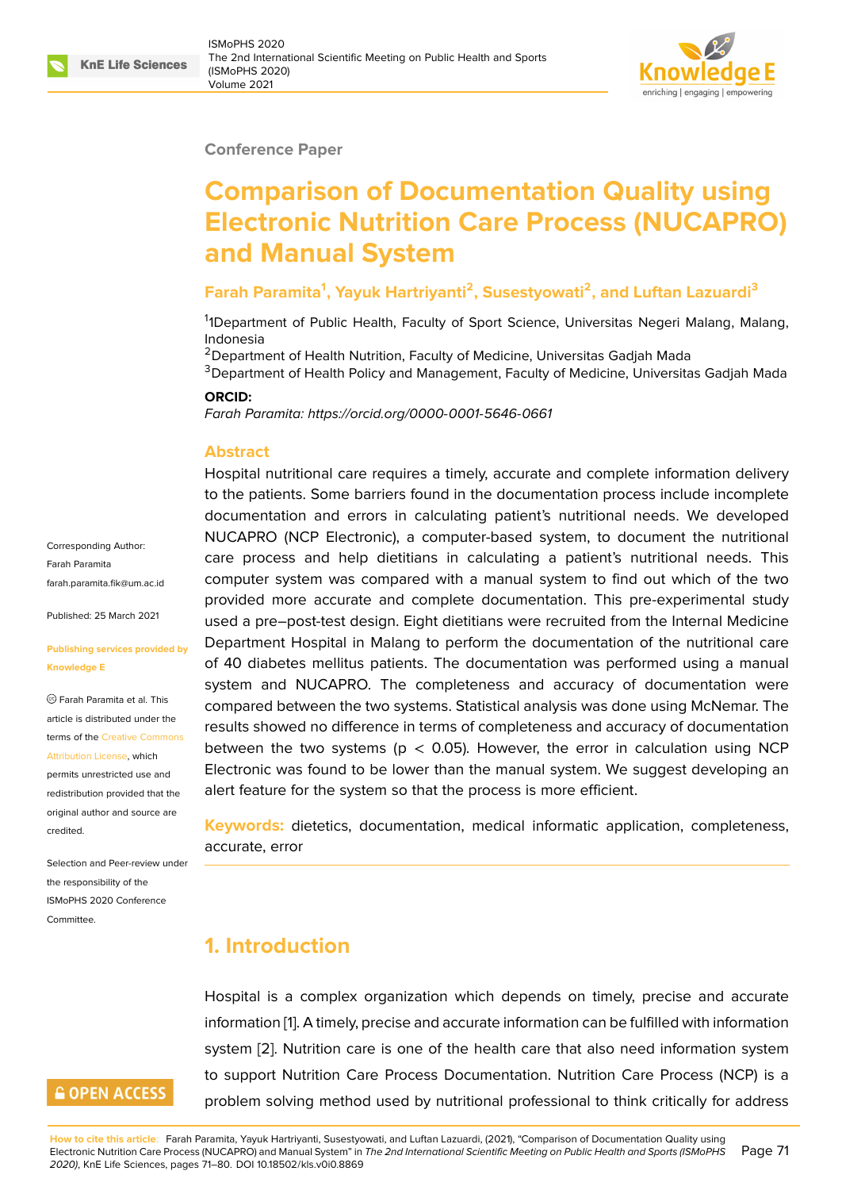### **Conference Paper**

# **Comparison of Documentation Quality using Electronic Nutrition Care Process (NUCAPRO) and Manual System**

## **Farah Paramita<sup>1</sup> , Yayuk Hartriyanti<sup>2</sup> , Susestyowati<sup>2</sup> , and Luftan Lazuardi<sup>3</sup>**

<sup>1</sup>1Department of Public Health, Faculty of Sport Science, Universitas Negeri Malang, Malang, Indonesia

<sup>2</sup> Department of Health Nutrition, Faculty of Medicine, Universitas Gadjah Mada

<sup>3</sup>Department of Health Policy and Management, Faculty of Medicine, Universitas Gadjah Mada

#### **ORCID:**

*Farah Paramita: https://orcid.org/0000-0001-5646-0661*

### **Abstract**

Hospital nutritional care requires a timely, accurate and complete information delivery to the patients. [Some barriers found in the documen](https://orcid.org/0000-0001-5646-0661)tation process include incomplete documentation and errors in calculating patient's nutritional needs. We developed NUCAPRO (NCP Electronic), a computer-based system, to document the nutritional care process and help dietitians in calculating a patient's nutritional needs. This computer system was compared with a manual system to find out which of the two provided more accurate and complete documentation. This pre-experimental study used a pre–post-test design. Eight dietitians were recruited from the Internal Medicine Department Hospital in Malang to perform the documentation of the nutritional care of 40 diabetes mellitus patients. The documentation was performed using a manual system and NUCAPRO. The completeness and accuracy of documentation were compared between the two systems. Statistical analysis was done using McNemar. The results showed no difference in terms of completeness and accuracy of documentation between the two systems ( $p < 0.05$ ). However, the error in calculation using NCP Electronic was found to be lower than the manual system. We suggest developing an alert feature for the system so that the process is more efficient.

**Keywords:** dietetics, documentation, medical informatic application, completeness, accurate, error

# **1. Introduction**

Hospital is a complex organization which depends on timely, precise and accurate information [1]. A timely, precise and accurate information can be fulfilled with information system [2]. Nutrition care is one of the health care that also need information system to support Nutrition Care Process Documentation. Nutrition Care Process (NCP) is a problem sol[v](#page-8-0)ing method used by nutritional professional to think critically for address

Corresponding Author: Farah Paramita farah.paramita.fik@um.ac.id

Published: 25 March 2021

#### **[Publishing services provide](mailto:farah.paramita.fik@um.ac.id)d by Knowledge E**

Farah Paramita et al. This article is distributed under the terms of the Creative Commons Attribution License, which

permits unrestricted use and redistribution provided that the original auth[or and source are](https://creativecommons.org/licenses/by/4.0/) [credited.](https://creativecommons.org/licenses/by/4.0/)

Selection and Peer-review under the responsibility of the ISMoPHS 2020 Conference Committee.

# **GOPEN ACCESS**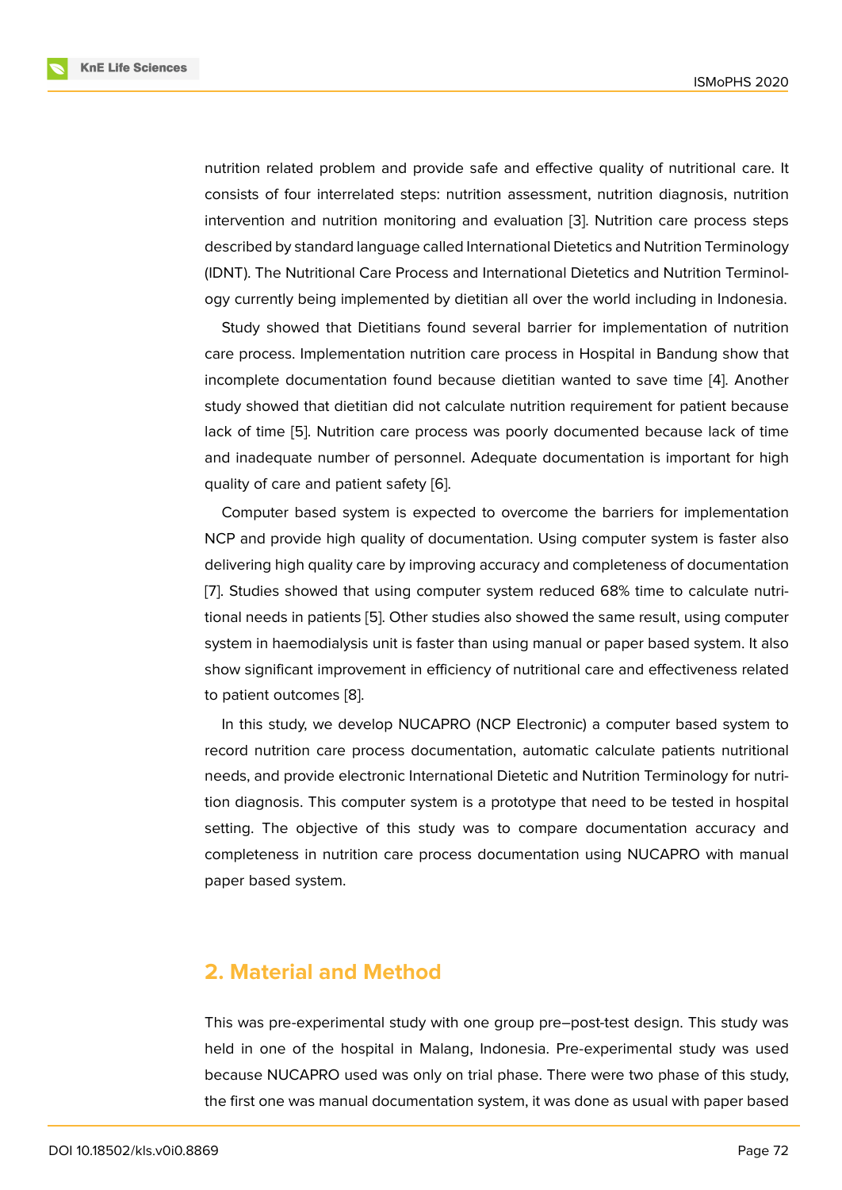nutrition related problem and provide safe and effective quality of nutritional care. It consists of four interrelated steps: nutrition assessment, nutrition diagnosis, nutrition intervention and nutrition monitoring and evaluation [3]. Nutrition care process steps described by standard language called International Dietetics and Nutrition Terminology (IDNT). The Nutritional Care Process and International Dietetics and Nutrition Terminology currently being implemented by dietitian all over t[he](#page-8-1) world including in Indonesia.

Study showed that Dietitians found several barrier for implementation of nutrition care process. Implementation nutrition care process in Hospital in Bandung show that incomplete documentation found because dietitian wanted to save time [4]. Another study showed that dietitian did not calculate nutrition requirement for patient because lack of time [5]. Nutrition care process was poorly documented because lack of time and inadequate number of personnel. Adequate documentation is import[an](#page-8-2)t for high quality of care and patient safety [6].

Computer [ba](#page-8-3)sed system is expected to overcome the barriers for implementation NCP and provide high quality of documentation. Using computer system is faster also delivering high quality care by imp[ro](#page-8-4)ving accuracy and completeness of documentation [7]. Studies showed that using computer system reduced 68% time to calculate nutritional needs in patients [5]. Other studies also showed the same result, using computer system in haemodialysis unit is faster than using manual or paper based system. It also [sh](#page-8-5)ow significant improvement in efficiency of nutritional care and effectiveness related to patient outcomes [8].

In this study, we develop NUCAPRO (NCP Electronic) a computer based system to record nutrition care process documentation, automatic calculate patients nutritional needs, and provide e[le](#page-9-0)ctronic International Dietetic and Nutrition Terminology for nutrition diagnosis. This computer system is a prototype that need to be tested in hospital setting. The objective of this study was to compare documentation accuracy and completeness in nutrition care process documentation using NUCAPRO with manual paper based system.

## **2. Material and Method**

This was pre-experimental study with one group pre–post-test design. This study was held in one of the hospital in Malang, Indonesia. Pre-experimental study was used because NUCAPRO used was only on trial phase. There were two phase of this study, the first one was manual documentation system, it was done as usual with paper based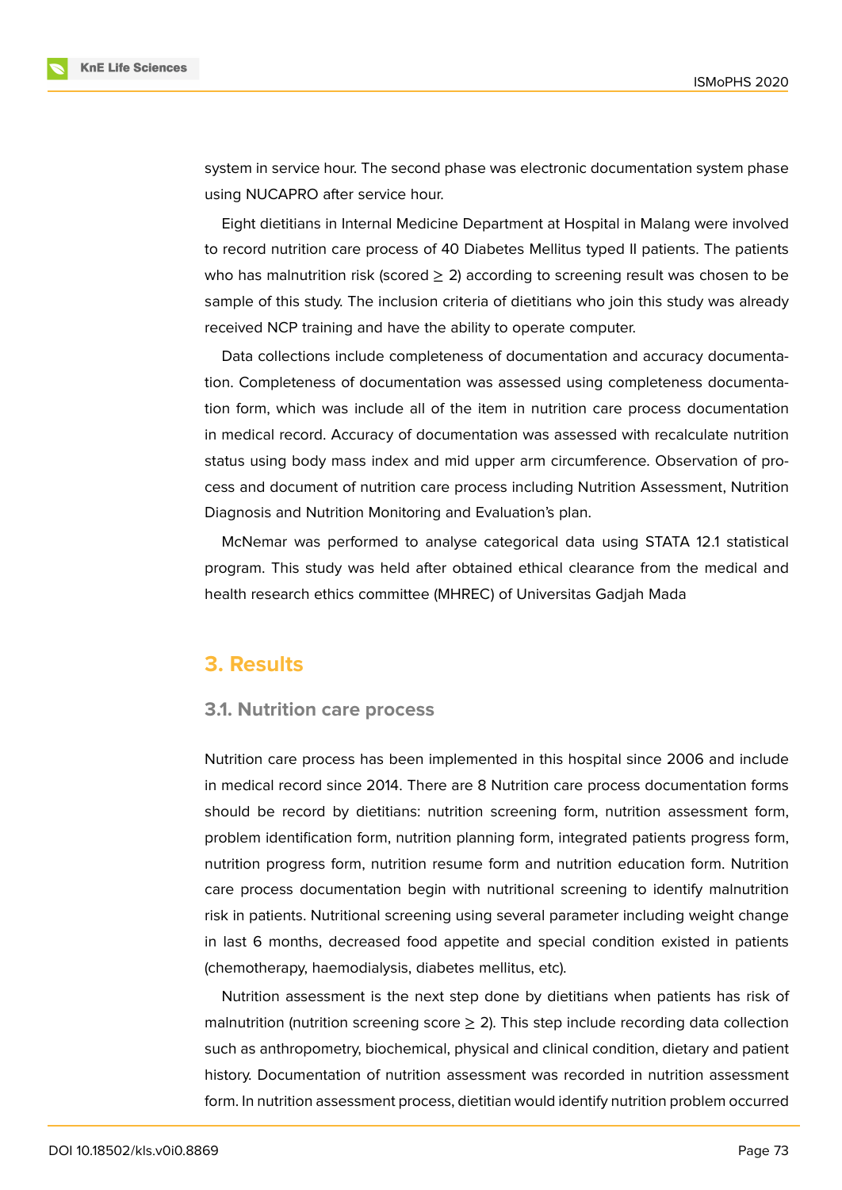

system in service hour. The second phase was electronic documentation system phase using NUCAPRO after service hour.

Eight dietitians in Internal Medicine Department at Hospital in Malang were involved to record nutrition care process of 40 Diabetes Mellitus typed II patients. The patients who has malnutrition risk (scored  $\geq$  2) according to screening result was chosen to be sample of this study. The inclusion criteria of dietitians who join this study was already received NCP training and have the ability to operate computer.

Data collections include completeness of documentation and accuracy documentation. Completeness of documentation was assessed using completeness documentation form, which was include all of the item in nutrition care process documentation in medical record. Accuracy of documentation was assessed with recalculate nutrition status using body mass index and mid upper arm circumference. Observation of process and document of nutrition care process including Nutrition Assessment, Nutrition Diagnosis and Nutrition Monitoring and Evaluation's plan.

McNemar was performed to analyse categorical data using STATA 12.1 statistical program. This study was held after obtained ethical clearance from the medical and health research ethics committee (MHREC) of Universitas Gadjah Mada

## **3. Results**

## **3.1. Nutrition care process**

Nutrition care process has been implemented in this hospital since 2006 and include in medical record since 2014. There are 8 Nutrition care process documentation forms should be record by dietitians: nutrition screening form, nutrition assessment form, problem identification form, nutrition planning form, integrated patients progress form, nutrition progress form, nutrition resume form and nutrition education form. Nutrition care process documentation begin with nutritional screening to identify malnutrition risk in patients. Nutritional screening using several parameter including weight change in last 6 months, decreased food appetite and special condition existed in patients (chemotherapy, haemodialysis, diabetes mellitus, etc).

Nutrition assessment is the next step done by dietitians when patients has risk of malnutrition (nutrition screening score  $\geq$  2). This step include recording data collection such as anthropometry, biochemical, physical and clinical condition, dietary and patient history. Documentation of nutrition assessment was recorded in nutrition assessment form. In nutrition assessment process, dietitian would identify nutrition problem occurred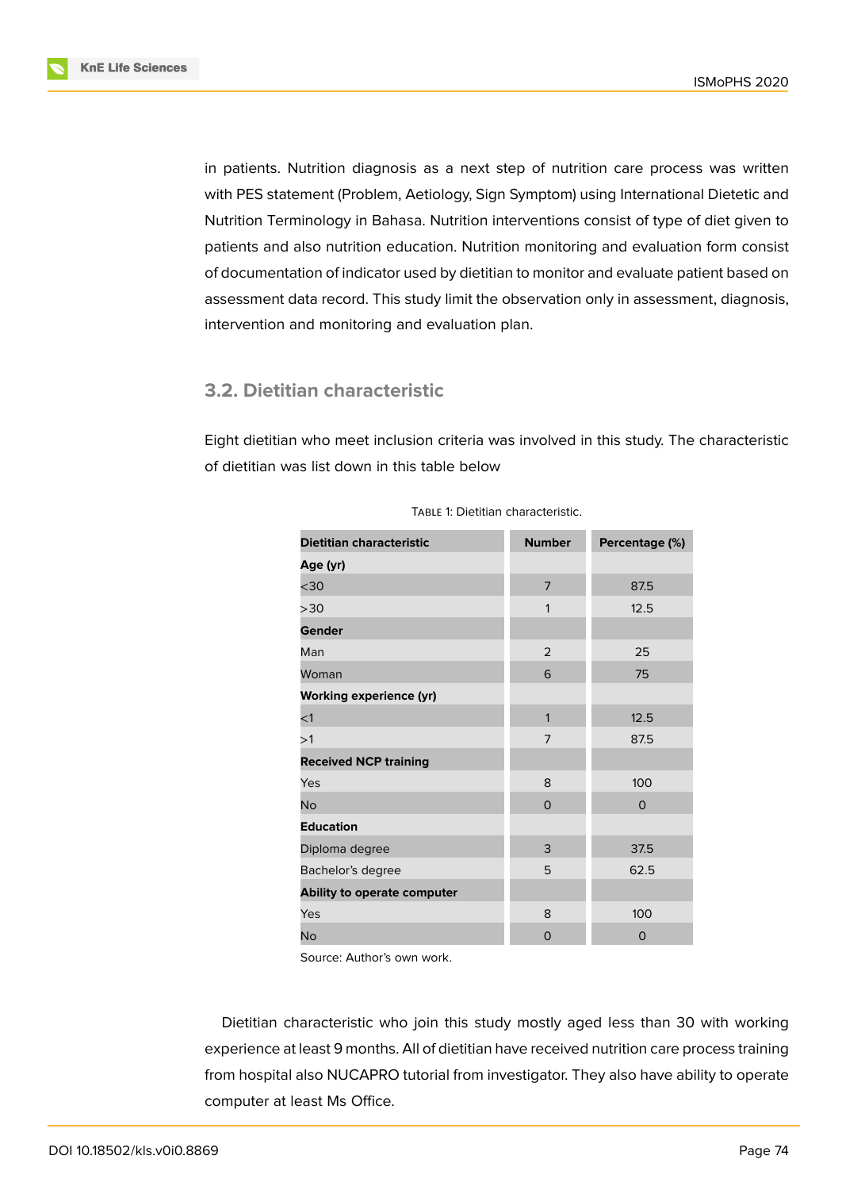

in patients. Nutrition diagnosis as a next step of nutrition care process was written with PES statement (Problem, Aetiology, Sign Symptom) using International Dietetic and Nutrition Terminology in Bahasa. Nutrition interventions consist of type of diet given to patients and also nutrition education. Nutrition monitoring and evaluation form consist of documentation of indicator used by dietitian to monitor and evaluate patient based on assessment data record. This study limit the observation only in assessment, diagnosis, intervention and monitoring and evaluation plan.

## **3.2. Dietitian characteristic**

Eight dietitian who meet inclusion criteria was involved in this study. The characteristic of dietitian was list down in this table below

| <b>Dietitian characteristic</b> | <b>Number</b>  | Percentage (%) |
|---------------------------------|----------------|----------------|
| Age (yr)                        |                |                |
| $30$                            | $\overline{7}$ | 87.5           |
| >30                             | 1              | 12.5           |
| Gender                          |                |                |
| Man                             | 2              | 25             |
| Woman                           | 6              | 75             |
| <b>Working experience (yr)</b>  |                |                |
| $<$ 1                           | 1              | 12.5           |
| >1                              | $\overline{7}$ | 87.5           |
| <b>Received NCP training</b>    |                |                |
| Yes                             | 8              | 100            |
| <b>No</b>                       | $\Omega$       | $\mathbf 0$    |
| <b>Education</b>                |                |                |
| Diploma degree                  | 3              | 37.5           |
| Bachelor's degree               | 5              | 62.5           |
| Ability to operate computer     |                |                |
| Yes                             | 8              | 100            |
| <b>No</b>                       | 0              | 0              |

TABLE 1: Dietitian characteristic.

Source: Author's own work.

Dietitian characteristic who join this study mostly aged less than 30 with working experience at least 9 months. All of dietitian have received nutrition care process training from hospital also NUCAPRO tutorial from investigator. They also have ability to operate computer at least Ms Office.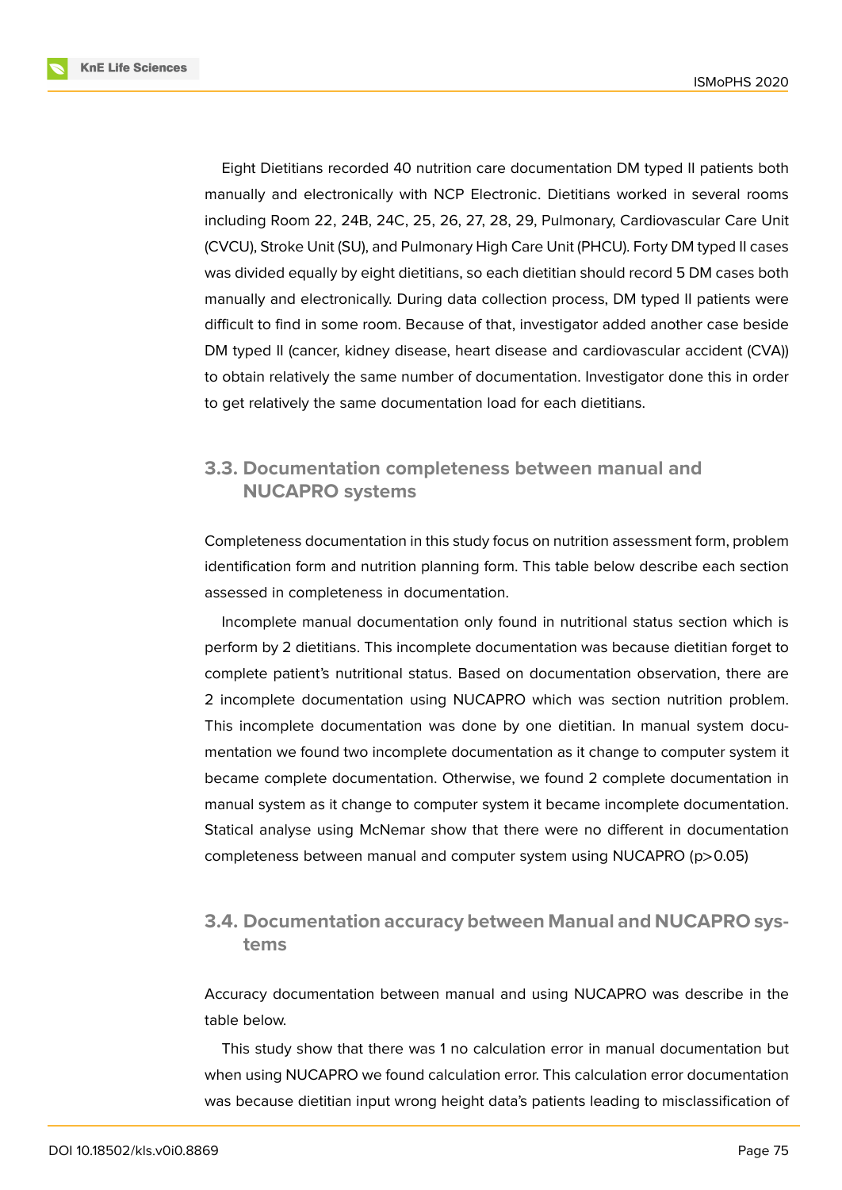**KnE Life Sciences** 



Eight Dietitians recorded 40 nutrition care documentation DM typed II patients both manually and electronically with NCP Electronic. Dietitians worked in several rooms including Room 22, 24B, 24C, 25, 26, 27, 28, 29, Pulmonary, Cardiovascular Care Unit (CVCU), Stroke Unit (SU), and Pulmonary High Care Unit (PHCU). Forty DM typed II cases was divided equally by eight dietitians, so each dietitian should record 5 DM cases both manually and electronically. During data collection process, DM typed II patients were difficult to find in some room. Because of that, investigator added another case beside DM typed II (cancer, kidney disease, heart disease and cardiovascular accident (CVA)) to obtain relatively the same number of documentation. Investigator done this in order to get relatively the same documentation load for each dietitians.

## **3.3. Documentation completeness between manual and NUCAPRO systems**

Completeness documentation in this study focus on nutrition assessment form, problem identification form and nutrition planning form. This table below describe each section assessed in completeness in documentation.

Incomplete manual documentation only found in nutritional status section which is perform by 2 dietitians. This incomplete documentation was because dietitian forget to complete patient's nutritional status. Based on documentation observation, there are 2 incomplete documentation using NUCAPRO which was section nutrition problem. This incomplete documentation was done by one dietitian. In manual system documentation we found two incomplete documentation as it change to computer system it became complete documentation. Otherwise, we found 2 complete documentation in manual system as it change to computer system it became incomplete documentation. Statical analyse using McNemar show that there were no different in documentation completeness between manual and computer system using NUCAPRO (p>0.05)

## **3.4. Documentation accuracy between Manual and NUCAPRO systems**

Accuracy documentation between manual and using NUCAPRO was describe in the table below.

This study show that there was 1 no calculation error in manual documentation but when using NUCAPRO we found calculation error. This calculation error documentation was because dietitian input wrong height data's patients leading to misclassification of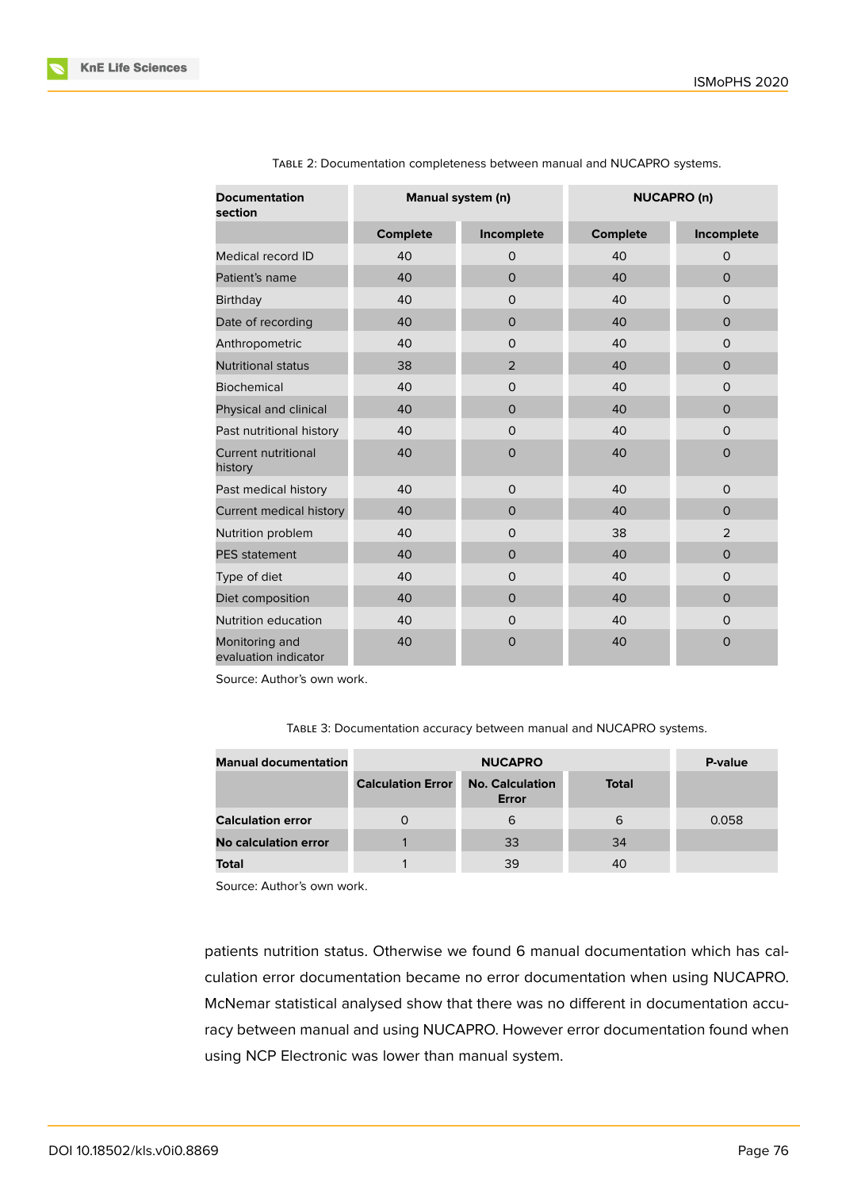| <b>Documentation</b><br>section        | Manual system (n) |              | <b>NUCAPRO (n)</b> |                |
|----------------------------------------|-------------------|--------------|--------------------|----------------|
|                                        | <b>Complete</b>   | Incomplete   | <b>Complete</b>    | Incomplete     |
| Medical record ID                      | 40                | $\circ$      | 40                 | $\mathsf{O}$   |
| Patient's name                         | 40                | $\mathbf 0$  | 40                 | $\mathsf{O}$   |
| <b>Birthday</b>                        | 40                | $\Omega$     | 40                 | $\mathsf{O}$   |
| Date of recording                      | 40                | $\mathbf{O}$ | 40                 | $\mathsf{O}$   |
| Anthropometric                         | 40                | 0            | 40                 | $\mathsf{O}$   |
| <b>Nutritional status</b>              | 38                | 2            | 40                 | $\mathbf 0$    |
| <b>Biochemical</b>                     | 40                | $\mathsf{O}$ | 40                 | $\mathsf{O}$   |
| Physical and clinical                  | 40                | $\mathbf 0$  | 40                 | $\mathbf 0$    |
| Past nutritional history               | 40                | $\mathsf{O}$ | 40                 | $\mathsf{O}$   |
| <b>Current nutritional</b><br>history  | 40                | $\mathbf 0$  | 40                 | $\mathbf 0$    |
| Past medical history                   | 40                | $\mathsf{O}$ | 40                 | $\mathsf{O}$   |
| Current medical history                | 40                | $\mathbf{O}$ | 40                 | $\mathbf 0$    |
| Nutrition problem                      | 40                | $\mathsf{O}$ | 38                 | $\overline{2}$ |
| <b>PES</b> statement                   | 40                | $\mathbf 0$  | 40                 | $\mathsf{O}$   |
| Type of diet                           | 40                | $\mathbf 0$  | 40                 | $\mathsf{O}$   |
| Diet composition                       | 40                | $\mathbf{O}$ | 40                 | $\mathsf{O}$   |
| Nutrition education                    | 40                | $\Omega$     | 40                 | $\mathsf{O}$   |
| Monitoring and<br>evaluation indicator | 40                | $\mathbf 0$  | 40                 | $\mathbf 0$    |

TABLE 2: Documentation completeness between manual and NUCAPRO systems.

Source: Author's own work.

TABLE 3: Documentation accuracy between manual and NUCAPRO systems.

| <b>Manual documentation</b> | <b>NUCAPRO</b>           |                                 |              | P-value |
|-----------------------------|--------------------------|---------------------------------|--------------|---------|
|                             | <b>Calculation Error</b> | <b>No. Calculation</b><br>Error | <b>Total</b> |         |
| <b>Calculation error</b>    |                          | 6                               | 6            | 0.058   |
| <b>No calculation error</b> |                          | 33                              | 34           |         |
| Total                       |                          | 39                              | 40           |         |

Source: Author's own work.

patients nutrition status. Otherwise we found 6 manual documentation which has calculation error documentation became no error documentation when using NUCAPRO. McNemar statistical analysed show that there was no different in documentation accuracy between manual and using NUCAPRO. However error documentation found when using NCP Electronic was lower than manual system.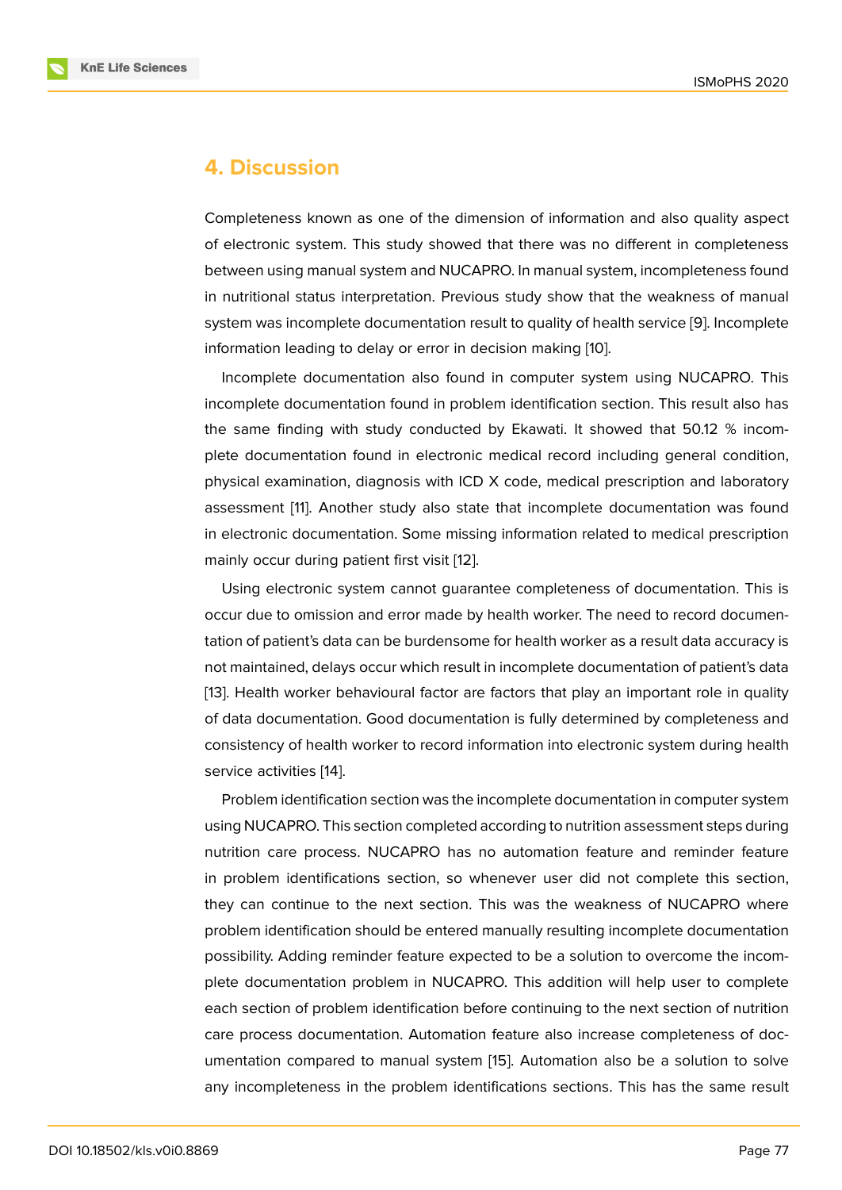## **4. Discussion**

Completeness known as one of the dimension of information and also quality aspect of electronic system. This study showed that there was no different in completeness between using manual system and NUCAPRO. In manual system, incompleteness found in nutritional status interpretation. Previous study show that the weakness of manual system was incomplete documentation result to quality of health service [9]. Incomplete information leading to delay or error in decision making [10].

Incomplete documentation also found in computer system using NUCAPRO. This incomplete documentation found in problem identification section. This [re](#page-9-1)sult also has the same finding with study conducted by Ekawati. It [sh](#page-9-2)owed that 50.12 % incomplete documentation found in electronic medical record including general condition, physical examination, diagnosis with ICD X code, medical prescription and laboratory assessment [11]. Another study also state that incomplete documentation was found in electronic documentation. Some missing information related to medical prescription mainly occur during patient first visit [12].

Using ele[ctro](#page-9-3)nic system cannot guarantee completeness of documentation. This is occur due to omission and error made by health worker. The need to record documentation of patient's data can be burden[som](#page-9-4)e for health worker as a result data accuracy is not maintained, delays occur which result in incomplete documentation of patient's data [13]. Health worker behavioural factor are factors that play an important role in quality of data documentation. Good documentation is fully determined by completeness and consistency of health worker to record information into electronic system during health [ser](#page-9-5)vice activities [14].

Problem identification section was the incomplete documentation in computer system using NUCAPRO. This section completed according to nutrition assessment steps during nutrition care pr[oce](#page-9-6)ss. NUCAPRO has no automation feature and reminder feature in problem identifications section, so whenever user did not complete this section, they can continue to the next section. This was the weakness of NUCAPRO where problem identification should be entered manually resulting incomplete documentation possibility. Adding reminder feature expected to be a solution to overcome the incomplete documentation problem in NUCAPRO. This addition will help user to complete each section of problem identification before continuing to the next section of nutrition care process documentation. Automation feature also increase completeness of documentation compared to manual system [15]. Automation also be a solution to solve any incompleteness in the problem identifications sections. This has the same result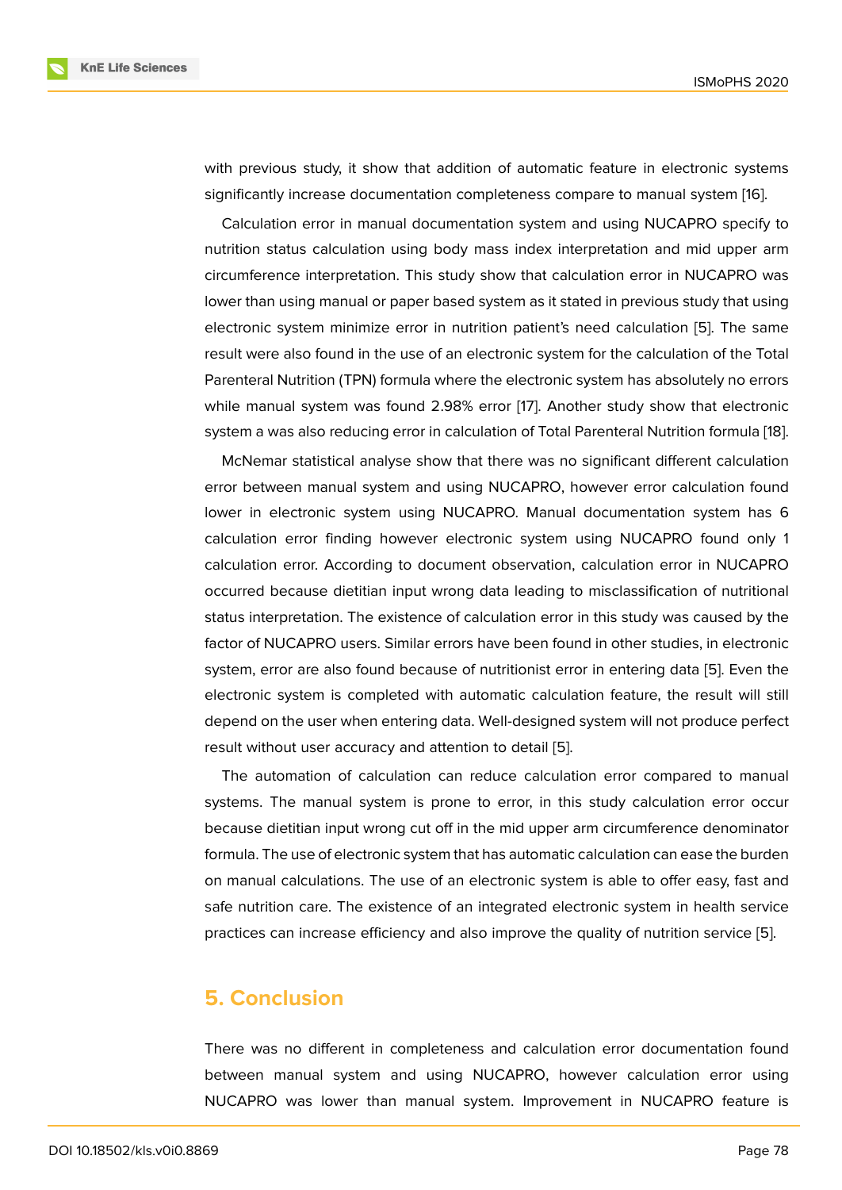with previous study, it show that addition of automatic feature in electronic systems significantly increase documentation completeness compare to manual system [16].

Calculation error in manual documentation system and using NUCAPRO specify to nutrition status calculation using body mass index interpretation and mid upper arm circumference interpretation. This study show that calculation error in NUCAPR[O](#page-9-7) was lower than using manual or paper based system as it stated in previous study that using electronic system minimize error in nutrition patient's need calculation [5]. The same result were also found in the use of an electronic system for the calculation of the Total Parenteral Nutrition (TPN) formula where the electronic system has absolutely no errors while manual system was found 2.98% error [17]. Another study show t[ha](#page-8-3)t electronic system a was also reducing error in calculation of Total Parenteral Nutrition formula [18].

McNemar statistical analyse show that there was no significant different calculation error between manual system and using NUC[AP](#page-9-8)RO, however error calculation found lower in electronic system using NUCAPRO. Manual documentation system ha[s 6](#page-9-9) calculation error finding however electronic system using NUCAPRO found only 1 calculation error. According to document observation, calculation error in NUCAPRO occurred because dietitian input wrong data leading to misclassification of nutritional status interpretation. The existence of calculation error in this study was caused by the factor of NUCAPRO users. Similar errors have been found in other studies, in electronic system, error are also found because of nutritionist error in entering data [5]. Even the electronic system is completed with automatic calculation feature, the result will still depend on the user when entering data. Well-designed system will not produce perfect result without user accuracy and attention to detail [5].

The automation of calculation can reduce calculation error compared to manual systems. The manual system is prone to error, in this study calculation error occur because dietitian input wrong cut off in the mid upp[er](#page-8-3) arm circumference denominator formula. The use of electronic system that has automatic calculation can ease the burden on manual calculations. The use of an electronic system is able to offer easy, fast and safe nutrition care. The existence of an integrated electronic system in health service practices can increase efficiency and also improve the quality of nutrition service [5].

## **5. Conclusion**

There was no different in completeness and calculation error documentation found between manual system and using NUCAPRO, however calculation error using NUCAPRO was lower than manual system. Improvement in NUCAPRO feature is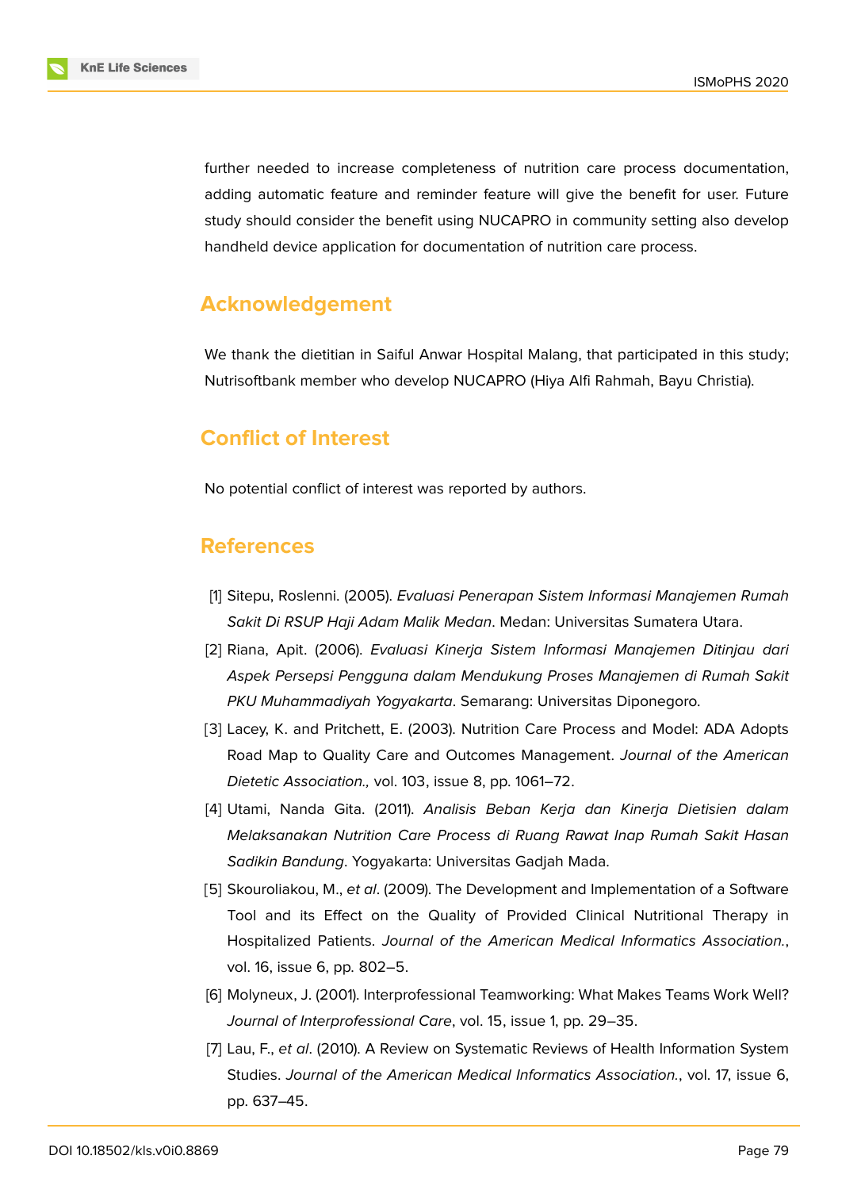

further needed to increase completeness of nutrition care process documentation, adding automatic feature and reminder feature will give the benefit for user. Future study should consider the benefit using NUCAPRO in community setting also develop handheld device application for documentation of nutrition care process.

# **Acknowledgement**

We thank the dietitian in Saiful Anwar Hospital Malang, that participated in this study; Nutrisoftbank member who develop NUCAPRO (Hiya Alfi Rahmah, Bayu Christia).

## **Conflict of Interest**

No potential conflict of interest was reported by authors.

## **References**

- <span id="page-8-0"></span>[1] Sitepu, Roslenni. (2005). *Evaluasi Penerapan Sistem Informasi Manajemen Rumah Sakit Di RSUP Haji Adam Malik Medan*. Medan: Universitas Sumatera Utara.
- [2] Riana, Apit. (2006). *Evaluasi Kinerja Sistem Informasi Manajemen Ditinjau dari Aspek Persepsi Pengguna dalam Mendukung Proses Manajemen di Rumah Sakit PKU Muhammadiyah Yogyakarta*. Semarang: Universitas Diponegoro.
- <span id="page-8-1"></span>[3] Lacey, K. and Pritchett, E. (2003). Nutrition Care Process and Model: ADA Adopts Road Map to Quality Care and Outcomes Management. *Journal of the American Dietetic Association.,* vol. 103, issue 8, pp. 1061–72.
- <span id="page-8-2"></span>[4] Utami, Nanda Gita. (2011). *Analisis Beban Kerja dan Kinerja Dietisien dalam Melaksanakan Nutrition Care Process di Ruang Rawat Inap Rumah Sakit Hasan Sadikin Bandung*. Yogyakarta: Universitas Gadjah Mada.
- <span id="page-8-3"></span>[5] Skouroliakou, M., *et al*. (2009). The Development and Implementation of a Software Tool and its Effect on the Quality of Provided Clinical Nutritional Therapy in Hospitalized Patients. *Journal of the American Medical Informatics Association.*, vol. 16, issue 6, pp. 802–5.
- <span id="page-8-4"></span>[6] Molyneux, J. (2001). Interprofessional Teamworking: What Makes Teams Work Well? *Journal of Interprofessional Care*, vol. 15, issue 1, pp. 29–35.
- <span id="page-8-5"></span>[7] Lau, F., *et al*. (2010). A Review on Systematic Reviews of Health Information System Studies. *Journal of the American Medical Informatics Association.*, vol. 17, issue 6, pp. 637–45.